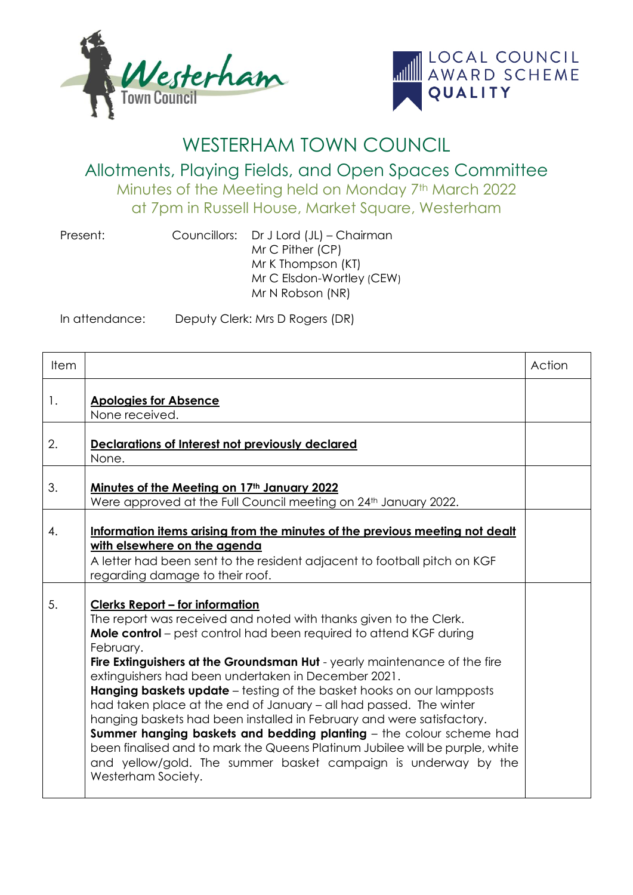



## WESTERHAM TOWN COUNCIL

Allotments, Playing Fields, and Open Spaces Committee Minutes of the Meeting held on Monday 7th March 2022 at 7pm in Russell House, Market Square, Westerham

Present: Councillors: Dr J Lord (JL) – Chairman Mr C Pither (CP) Mr K Thompson (KT) Mr C Elsdon-Wortley (CEW) Mr N Robson (NR)

In attendance: Deputy Clerk: Mrs D Rogers (DR)

| Item |                                                                                                                                                                                                                                                                                                                                                                                                                                                                                                                                                                                                                                                                                                                                                                                                                         | Action |
|------|-------------------------------------------------------------------------------------------------------------------------------------------------------------------------------------------------------------------------------------------------------------------------------------------------------------------------------------------------------------------------------------------------------------------------------------------------------------------------------------------------------------------------------------------------------------------------------------------------------------------------------------------------------------------------------------------------------------------------------------------------------------------------------------------------------------------------|--------|
| 1.   | <b>Apologies for Absence</b><br>None received.                                                                                                                                                                                                                                                                                                                                                                                                                                                                                                                                                                                                                                                                                                                                                                          |        |
| 2.   | Declarations of Interest not previously declared<br>None.                                                                                                                                                                                                                                                                                                                                                                                                                                                                                                                                                                                                                                                                                                                                                               |        |
| 3.   | Minutes of the Meeting on 17th January 2022<br>Were approved at the Full Council meeting on 24 <sup>th</sup> January 2022.                                                                                                                                                                                                                                                                                                                                                                                                                                                                                                                                                                                                                                                                                              |        |
| 4.   | Information items arising from the minutes of the previous meeting not dealt<br>with elsewhere on the agenda<br>A letter had been sent to the resident adjacent to football pitch on KGF<br>regarding damage to their roof.                                                                                                                                                                                                                                                                                                                                                                                                                                                                                                                                                                                             |        |
| 5.   | <b>Clerks Report - for information</b><br>The report was received and noted with thanks given to the Clerk.<br>Mole control – pest control had been required to attend KGF during<br>February.<br>Fire Extinguishers at the Groundsman Hut - yearly maintenance of the fire<br>extinguishers had been undertaken in December 2021.<br><b>Hanging baskets update</b> – testing of the basket hooks on our lampposts<br>had taken place at the end of January – all had passed. The winter<br>hanging baskets had been installed in February and were satisfactory.<br><b>Summer hanging baskets and bedding planting</b> - the colour scheme had<br>been finalised and to mark the Queens Platinum Jubilee will be purple, white<br>and yellow/gold. The summer basket campaign is underway by the<br>Westerham Society. |        |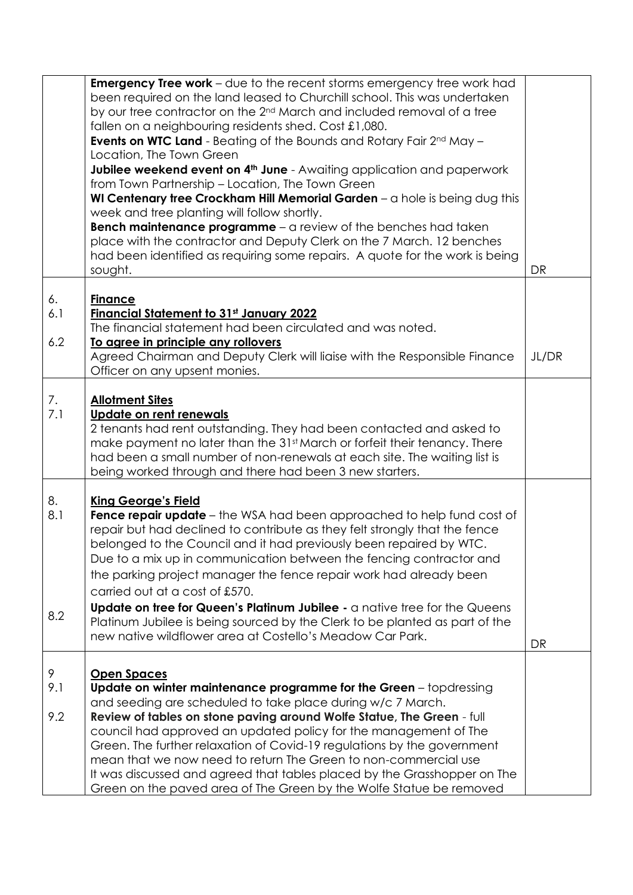|                  | <b>Emergency Tree work</b> – due to the recent storms emergency tree work had<br>been required on the land leased to Churchill school. This was undertaken<br>by our tree contractor on the 2 <sup>nd</sup> March and included removal of a tree<br>fallen on a neighbouring residents shed. Cost £1,080.<br><b>Events on WTC Land</b> - Beating of the Bounds and Rotary Fair $2^{nd}$ May $-$<br>Location, The Town Green<br>Jubilee weekend event on 4 <sup>th</sup> June - Awaiting application and paperwork<br>from Town Partnership - Location, The Town Green<br>WI Centenary tree Crockham Hill Memorial Garden $-\alpha$ hole is being dug this<br>week and tree planting will follow shortly.<br>Bench maintenance programme - a review of the benches had taken<br>place with the contractor and Deputy Clerk on the 7 March. 12 benches<br>had been identified as requiring some repairs. A quote for the work is being<br>sought. | DR        |
|------------------|-------------------------------------------------------------------------------------------------------------------------------------------------------------------------------------------------------------------------------------------------------------------------------------------------------------------------------------------------------------------------------------------------------------------------------------------------------------------------------------------------------------------------------------------------------------------------------------------------------------------------------------------------------------------------------------------------------------------------------------------------------------------------------------------------------------------------------------------------------------------------------------------------------------------------------------------------|-----------|
| 6.<br>6.1<br>6.2 | <b>Finance</b><br><b>Financial Statement to 31st January 2022</b><br>The financial statement had been circulated and was noted.<br>To agree in principle any rollovers                                                                                                                                                                                                                                                                                                                                                                                                                                                                                                                                                                                                                                                                                                                                                                          |           |
|                  | Agreed Chairman and Deputy Clerk will liaise with the Responsible Finance<br>Officer on any upsent monies.                                                                                                                                                                                                                                                                                                                                                                                                                                                                                                                                                                                                                                                                                                                                                                                                                                      | JL/DR     |
| 7.<br>7.1        | <b>Allotment Sites</b><br>Update on rent renewals<br>2 tenants had rent outstanding. They had been contacted and asked to<br>make payment no later than the 31st March or forfeit their tenancy. There<br>had been a small number of non-renewals at each site. The waiting list is<br>being worked through and there had been 3 new starters.                                                                                                                                                                                                                                                                                                                                                                                                                                                                                                                                                                                                  |           |
| 8.<br>8.1<br>8.2 | <b>King George's Field</b><br><b>Fence repair update</b> – the WSA had been approached to help fund cost of<br>repair but had declined to contribute as they felt strongly that the fence<br>belonged to the Council and it had previously been repaired by WTC.<br>Due to a mix up in communication between the fencing contractor and<br>the parking project manager the fence repair work had already been<br>carried out at a cost of £570.<br>Update on tree for Queen's Platinum Jubilee - a native tree for the Queens<br>Platinum Jubilee is being sourced by the Clerk to be planted as part of the<br>new native wildflower area at Costello's Meadow Car Park.                                                                                                                                                                                                                                                                       | <b>DR</b> |
| 9<br>9.1<br>9.2  | <b>Open Spaces</b><br>Update on winter maintenance programme for the Green $-$ topdressing<br>and seeding are scheduled to take place during w/c 7 March.<br>Review of tables on stone paving around Wolfe Statue, The Green - full<br>council had approved an updated policy for the management of The<br>Green. The further relaxation of Covid-19 regulations by the government<br>mean that we now need to return The Green to non-commercial use<br>It was discussed and agreed that tables placed by the Grasshopper on The                                                                                                                                                                                                                                                                                                                                                                                                               |           |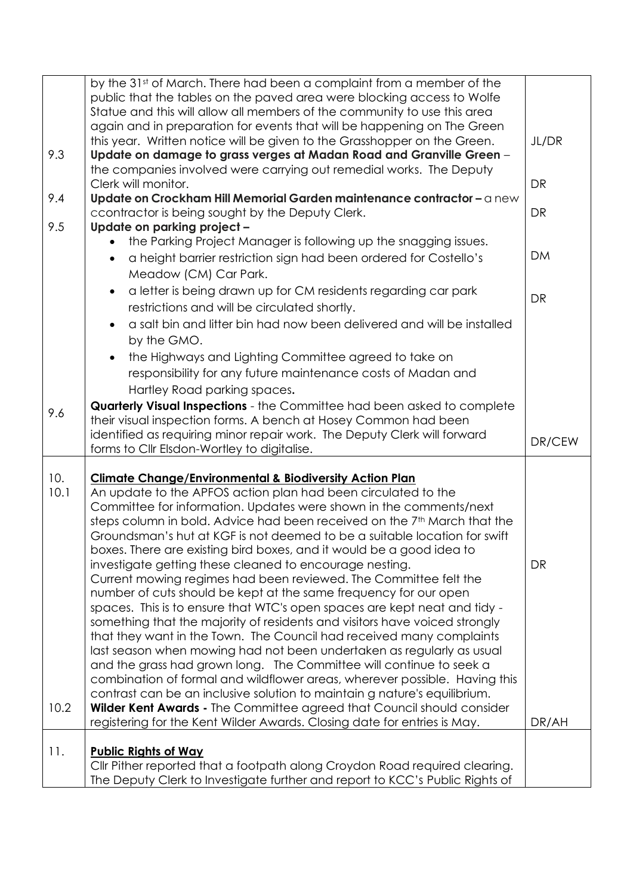|      | by the 31 <sup>st</sup> of March. There had been a complaint from a member of the                                                                          |           |
|------|------------------------------------------------------------------------------------------------------------------------------------------------------------|-----------|
|      | public that the tables on the paved area were blocking access to Wolfe                                                                                     |           |
|      | Statue and this will allow all members of the community to use this area                                                                                   |           |
|      | again and in preparation for events that will be happening on The Green                                                                                    |           |
|      | this year. Written notice will be given to the Grasshopper on the Green.                                                                                   | JL/DR     |
| 9.3  | Update on damage to grass verges at Madan Road and Granville Green -                                                                                       |           |
|      | the companies involved were carrying out remedial works. The Deputy                                                                                        |           |
|      | Clerk will monitor.                                                                                                                                        | <b>DR</b> |
| 9.4  | Update on Crockham Hill Memorial Garden maintenance contractor - a new                                                                                     |           |
|      | ccontractor is being sought by the Deputy Clerk.                                                                                                           | <b>DR</b> |
| 9.5  | Update on parking project -                                                                                                                                |           |
|      | the Parking Project Manager is following up the snagging issues.                                                                                           |           |
|      | a height barrier restriction sign had been ordered for Costello's                                                                                          | <b>DM</b> |
|      |                                                                                                                                                            |           |
|      | Meadow (CM) Car Park.                                                                                                                                      |           |
|      | a letter is being drawn up for CM residents regarding car park<br>$\bullet$                                                                                | <b>DR</b> |
|      | restrictions and will be circulated shortly.                                                                                                               |           |
|      | a salt bin and litter bin had now been delivered and will be installed                                                                                     |           |
|      | by the GMO.                                                                                                                                                |           |
|      | the Highways and Lighting Committee agreed to take on<br>$\bullet$                                                                                         |           |
|      | responsibility for any future maintenance costs of Madan and                                                                                               |           |
|      | Hartley Road parking spaces.                                                                                                                               |           |
|      | Quarterly Visual Inspections - the Committee had been asked to complete                                                                                    |           |
| 9.6  | their visual inspection forms. A bench at Hosey Common had been                                                                                            |           |
|      | identified as requiring minor repair work. The Deputy Clerk will forward                                                                                   |           |
|      | forms to CIIr Elsdon-Wortley to digitalise.                                                                                                                | DR/CEW    |
|      |                                                                                                                                                            |           |
|      |                                                                                                                                                            |           |
| 10.  | <b>Climate Change/Environmental &amp; Biodiversity Action Plan</b>                                                                                         |           |
| 10.1 | An update to the APFOS action plan had been circulated to the                                                                                              |           |
|      | Committee for information. Updates were shown in the comments/next                                                                                         |           |
|      | steps column in bold. Advice had been received on the 7 <sup>th</sup> March that the                                                                       |           |
|      | Groundsman's hut at KGF is not deemed to be a suitable location for swift                                                                                  |           |
|      | boxes. There are existing bird boxes, and it would be a good idea to                                                                                       |           |
|      | investigate getting these cleaned to encourage nesting.                                                                                                    | <b>DR</b> |
|      | Current mowing regimes had been reviewed. The Committee felt the                                                                                           |           |
|      | number of cuts should be kept at the same frequency for our open                                                                                           |           |
|      | spaces. This is to ensure that WTC's open spaces are kept neat and tidy -                                                                                  |           |
|      | something that the majority of residents and visitors have voiced strongly                                                                                 |           |
|      | that they want in the Town. The Council had received many complaints                                                                                       |           |
|      | last season when mowing had not been undertaken as regularly as usual                                                                                      |           |
|      | and the grass had grown long. The Committee will continue to seek a                                                                                        |           |
|      | combination of formal and wildflower areas, wherever possible. Having this                                                                                 |           |
|      | contrast can be an inclusive solution to maintain g nature's equilibrium.                                                                                  |           |
| 10.2 | Wilder Kent Awards - The Committee agreed that Council should consider                                                                                     |           |
|      | registering for the Kent Wilder Awards. Closing date for entries is May.                                                                                   | DR/AH     |
|      |                                                                                                                                                            |           |
| 11.  | <b>Public Rights of Way</b>                                                                                                                                |           |
|      | CIIr Pither reported that a footpath along Croydon Road required clearing.<br>The Deputy Clerk to Investigate further and report to KCC's Public Rights of |           |